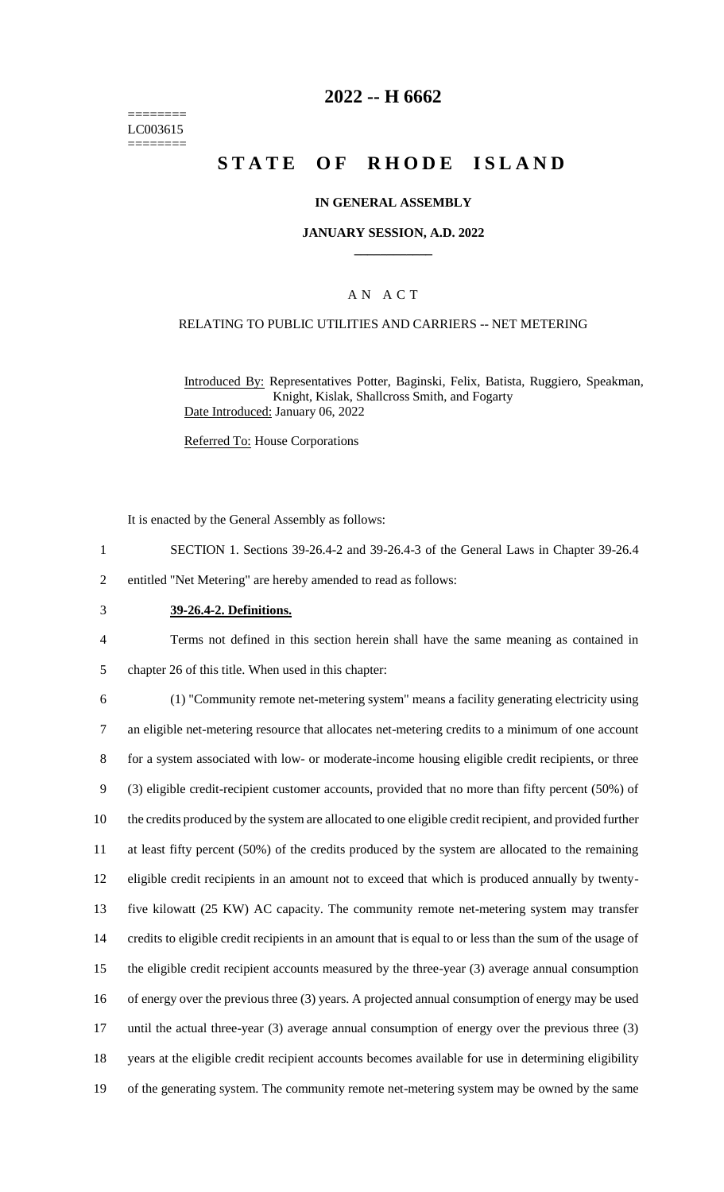======== LC003615 ========

## **2022 -- H 6662**

# **STATE OF RHODE ISLAND**

### **IN GENERAL ASSEMBLY**

#### **JANUARY SESSION, A.D. 2022 \_\_\_\_\_\_\_\_\_\_\_\_**

### A N A C T

### RELATING TO PUBLIC UTILITIES AND CARRIERS -- NET METERING

Introduced By: Representatives Potter, Baginski, Felix, Batista, Ruggiero, Speakman, Knight, Kislak, Shallcross Smith, and Fogarty Date Introduced: January 06, 2022

Referred To: House Corporations

It is enacted by the General Assembly as follows:

- 1 SECTION 1. Sections 39-26.4-2 and 39-26.4-3 of the General Laws in Chapter 39-26.4
- 2 entitled "Net Metering" are hereby amended to read as follows:
- 3 **39-26.4-2. Definitions.**
- 4 Terms not defined in this section herein shall have the same meaning as contained in 5 chapter 26 of this title. When used in this chapter:

 (1) "Community remote net-metering system" means a facility generating electricity using an eligible net-metering resource that allocates net-metering credits to a minimum of one account for a system associated with low- or moderate-income housing eligible credit recipients, or three (3) eligible credit-recipient customer accounts, provided that no more than fifty percent (50%) of the credits produced by the system are allocated to one eligible credit recipient, and provided further at least fifty percent (50%) of the credits produced by the system are allocated to the remaining eligible credit recipients in an amount not to exceed that which is produced annually by twenty- five kilowatt (25 KW) AC capacity. The community remote net-metering system may transfer credits to eligible credit recipients in an amount that is equal to or less than the sum of the usage of the eligible credit recipient accounts measured by the three-year (3) average annual consumption of energy over the previous three (3) years. A projected annual consumption of energy may be used 17 until the actual three-year (3) average annual consumption of energy over the previous three (3) years at the eligible credit recipient accounts becomes available for use in determining eligibility of the generating system. The community remote net-metering system may be owned by the same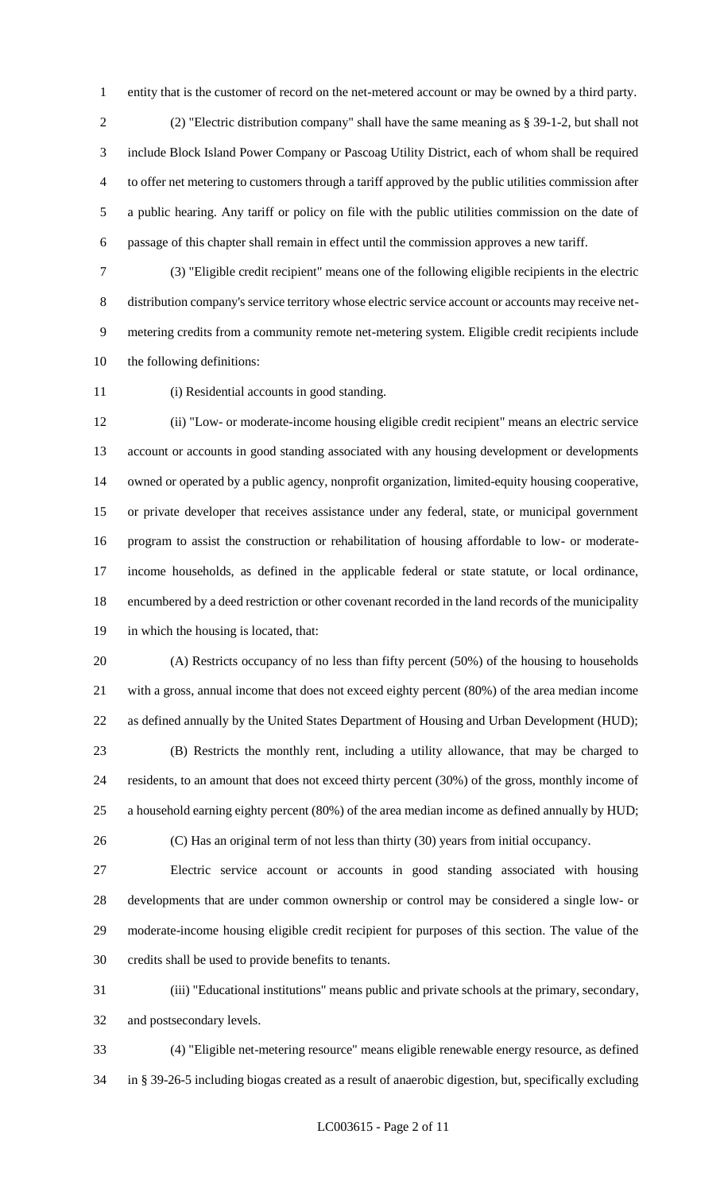entity that is the customer of record on the net-metered account or may be owned by a third party.

 (2) "Electric distribution company" shall have the same meaning as § 39-1-2, but shall not include Block Island Power Company or Pascoag Utility District, each of whom shall be required to offer net metering to customers through a tariff approved by the public utilities commission after a public hearing. Any tariff or policy on file with the public utilities commission on the date of passage of this chapter shall remain in effect until the commission approves a new tariff.

 (3) "Eligible credit recipient" means one of the following eligible recipients in the electric distribution company's service territory whose electric service account or accounts may receive net- metering credits from a community remote net-metering system. Eligible credit recipients include the following definitions:

(i) Residential accounts in good standing.

 (ii) "Low- or moderate-income housing eligible credit recipient" means an electric service account or accounts in good standing associated with any housing development or developments owned or operated by a public agency, nonprofit organization, limited-equity housing cooperative, or private developer that receives assistance under any federal, state, or municipal government program to assist the construction or rehabilitation of housing affordable to low- or moderate- income households, as defined in the applicable federal or state statute, or local ordinance, encumbered by a deed restriction or other covenant recorded in the land records of the municipality in which the housing is located, that:

 (A) Restricts occupancy of no less than fifty percent (50%) of the housing to households with a gross, annual income that does not exceed eighty percent (80%) of the area median income as defined annually by the United States Department of Housing and Urban Development (HUD); (B) Restricts the monthly rent, including a utility allowance, that may be charged to

 residents, to an amount that does not exceed thirty percent (30%) of the gross, monthly income of a household earning eighty percent (80%) of the area median income as defined annually by HUD;

(C) Has an original term of not less than thirty (30) years from initial occupancy.

 Electric service account or accounts in good standing associated with housing developments that are under common ownership or control may be considered a single low- or moderate-income housing eligible credit recipient for purposes of this section. The value of the credits shall be used to provide benefits to tenants.

 (iii) "Educational institutions" means public and private schools at the primary, secondary, and postsecondary levels.

 (4) "Eligible net-metering resource" means eligible renewable energy resource, as defined in § 39-26-5 including biogas created as a result of anaerobic digestion, but, specifically excluding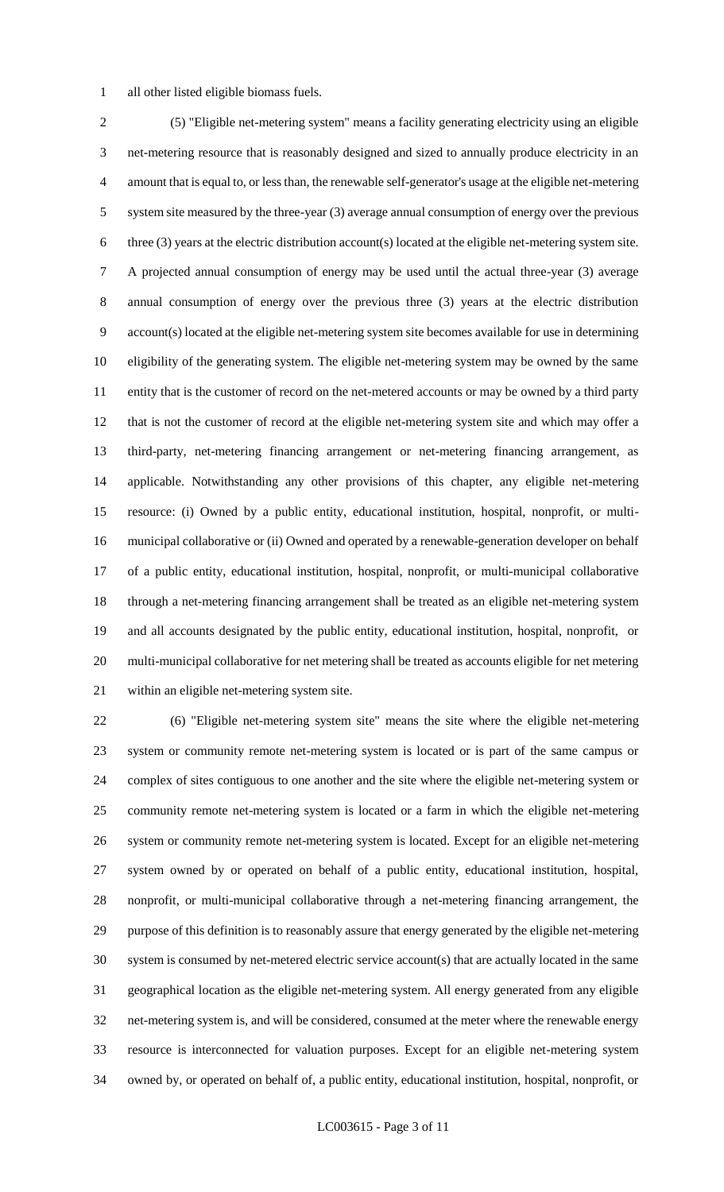all other listed eligible biomass fuels.

 (5) "Eligible net-metering system" means a facility generating electricity using an eligible net-metering resource that is reasonably designed and sized to annually produce electricity in an amount that is equal to, or less than, the renewable self-generator's usage at the eligible net-metering system site measured by the three-year (3) average annual consumption of energy over the previous three (3) years at the electric distribution account(s) located at the eligible net-metering system site. A projected annual consumption of energy may be used until the actual three-year (3) average annual consumption of energy over the previous three (3) years at the electric distribution account(s) located at the eligible net-metering system site becomes available for use in determining eligibility of the generating system. The eligible net-metering system may be owned by the same entity that is the customer of record on the net-metered accounts or may be owned by a third party that is not the customer of record at the eligible net-metering system site and which may offer a third-party, net-metering financing arrangement or net-metering financing arrangement, as applicable. Notwithstanding any other provisions of this chapter, any eligible net-metering resource: (i) Owned by a public entity, educational institution, hospital, nonprofit, or multi- municipal collaborative or (ii) Owned and operated by a renewable-generation developer on behalf of a public entity, educational institution, hospital, nonprofit, or multi-municipal collaborative through a net-metering financing arrangement shall be treated as an eligible net-metering system and all accounts designated by the public entity, educational institution, hospital, nonprofit, or multi-municipal collaborative for net metering shall be treated as accounts eligible for net metering within an eligible net-metering system site.

 (6) "Eligible net-metering system site" means the site where the eligible net-metering system or community remote net-metering system is located or is part of the same campus or complex of sites contiguous to one another and the site where the eligible net-metering system or community remote net-metering system is located or a farm in which the eligible net-metering system or community remote net-metering system is located. Except for an eligible net-metering system owned by or operated on behalf of a public entity, educational institution, hospital, nonprofit, or multi-municipal collaborative through a net-metering financing arrangement, the purpose of this definition is to reasonably assure that energy generated by the eligible net-metering system is consumed by net-metered electric service account(s) that are actually located in the same geographical location as the eligible net-metering system. All energy generated from any eligible net-metering system is, and will be considered, consumed at the meter where the renewable energy resource is interconnected for valuation purposes. Except for an eligible net-metering system owned by, or operated on behalf of, a public entity, educational institution, hospital, nonprofit, or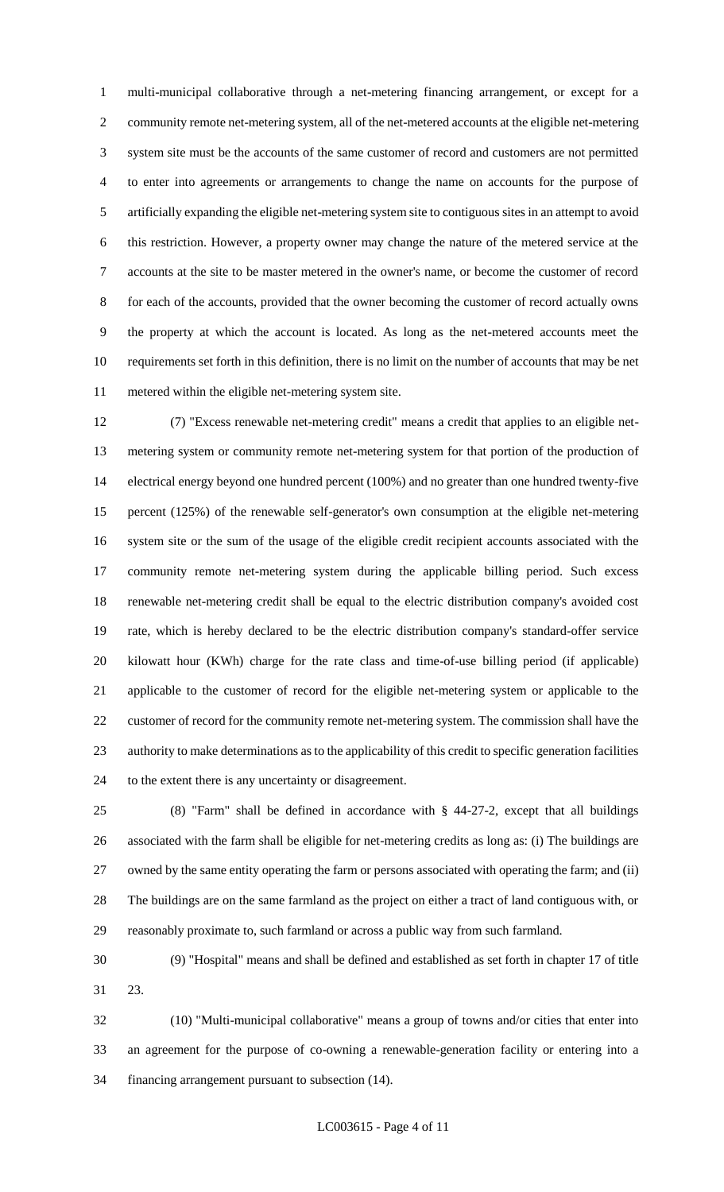multi-municipal collaborative through a net-metering financing arrangement, or except for a community remote net-metering system, all of the net-metered accounts at the eligible net-metering system site must be the accounts of the same customer of record and customers are not permitted to enter into agreements or arrangements to change the name on accounts for the purpose of artificially expanding the eligible net-metering system site to contiguous sites in an attempt to avoid this restriction. However, a property owner may change the nature of the metered service at the accounts at the site to be master metered in the owner's name, or become the customer of record for each of the accounts, provided that the owner becoming the customer of record actually owns the property at which the account is located. As long as the net-metered accounts meet the requirements set forth in this definition, there is no limit on the number of accounts that may be net metered within the eligible net-metering system site.

 (7) "Excess renewable net-metering credit" means a credit that applies to an eligible net- metering system or community remote net-metering system for that portion of the production of electrical energy beyond one hundred percent (100%) and no greater than one hundred twenty-five percent (125%) of the renewable self-generator's own consumption at the eligible net-metering system site or the sum of the usage of the eligible credit recipient accounts associated with the community remote net-metering system during the applicable billing period. Such excess renewable net-metering credit shall be equal to the electric distribution company's avoided cost rate, which is hereby declared to be the electric distribution company's standard-offer service kilowatt hour (KWh) charge for the rate class and time-of-use billing period (if applicable) applicable to the customer of record for the eligible net-metering system or applicable to the customer of record for the community remote net-metering system. The commission shall have the authority to make determinations as to the applicability of this credit to specific generation facilities to the extent there is any uncertainty or disagreement.

 (8) "Farm" shall be defined in accordance with § 44-27-2, except that all buildings associated with the farm shall be eligible for net-metering credits as long as: (i) The buildings are owned by the same entity operating the farm or persons associated with operating the farm; and (ii) The buildings are on the same farmland as the project on either a tract of land contiguous with, or reasonably proximate to, such farmland or across a public way from such farmland.

 (9) "Hospital" means and shall be defined and established as set forth in chapter 17 of title 23.

 (10) "Multi-municipal collaborative" means a group of towns and/or cities that enter into an agreement for the purpose of co-owning a renewable-generation facility or entering into a financing arrangement pursuant to subsection (14).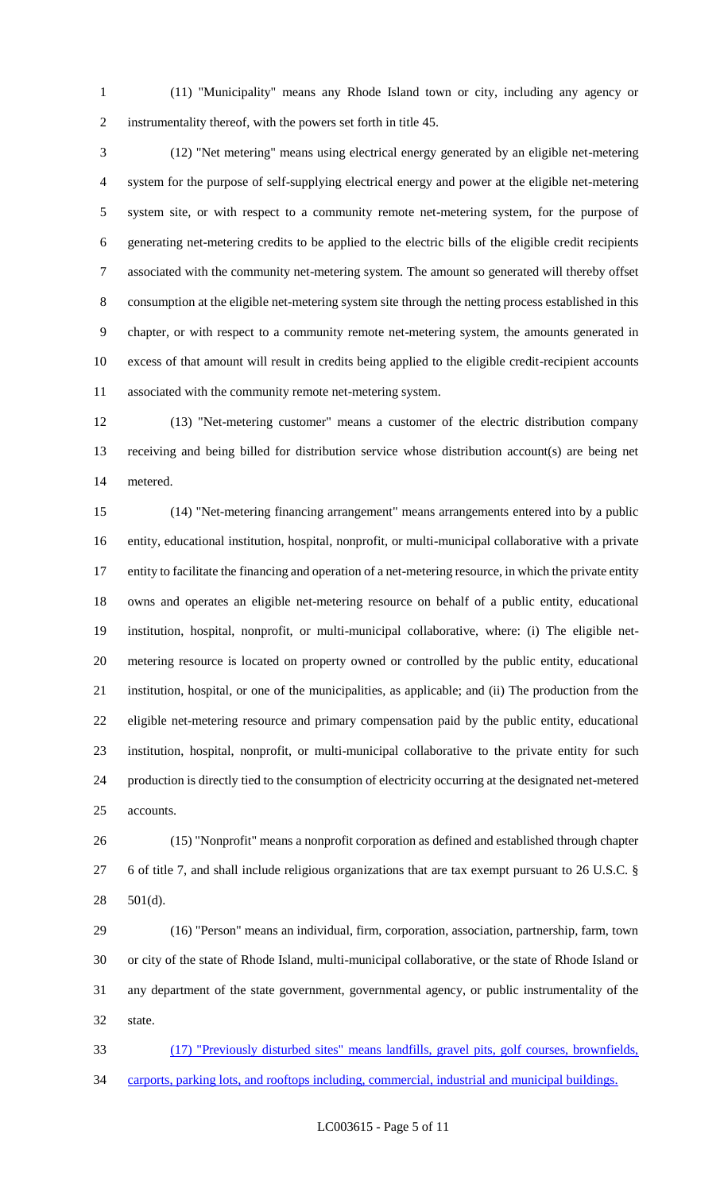(11) "Municipality" means any Rhode Island town or city, including any agency or instrumentality thereof, with the powers set forth in title 45.

 (12) "Net metering" means using electrical energy generated by an eligible net-metering system for the purpose of self-supplying electrical energy and power at the eligible net-metering system site, or with respect to a community remote net-metering system, for the purpose of generating net-metering credits to be applied to the electric bills of the eligible credit recipients associated with the community net-metering system. The amount so generated will thereby offset consumption at the eligible net-metering system site through the netting process established in this chapter, or with respect to a community remote net-metering system, the amounts generated in excess of that amount will result in credits being applied to the eligible credit-recipient accounts associated with the community remote net-metering system.

 (13) "Net-metering customer" means a customer of the electric distribution company receiving and being billed for distribution service whose distribution account(s) are being net metered.

 (14) "Net-metering financing arrangement" means arrangements entered into by a public entity, educational institution, hospital, nonprofit, or multi-municipal collaborative with a private entity to facilitate the financing and operation of a net-metering resource, in which the private entity owns and operates an eligible net-metering resource on behalf of a public entity, educational institution, hospital, nonprofit, or multi-municipal collaborative, where: (i) The eligible net- metering resource is located on property owned or controlled by the public entity, educational institution, hospital, or one of the municipalities, as applicable; and (ii) The production from the eligible net-metering resource and primary compensation paid by the public entity, educational institution, hospital, nonprofit, or multi-municipal collaborative to the private entity for such production is directly tied to the consumption of electricity occurring at the designated net-metered accounts.

 (15) "Nonprofit" means a nonprofit corporation as defined and established through chapter 6 of title 7, and shall include religious organizations that are tax exempt pursuant to 26 U.S.C. § 501(d).

 (16) "Person" means an individual, firm, corporation, association, partnership, farm, town or city of the state of Rhode Island, multi-municipal collaborative, or the state of Rhode Island or any department of the state government, governmental agency, or public instrumentality of the state.

 (17) "Previously disturbed sites" means landfills, gravel pits, golf courses, brownfields, carports, parking lots, and rooftops including, commercial, industrial and municipal buildings.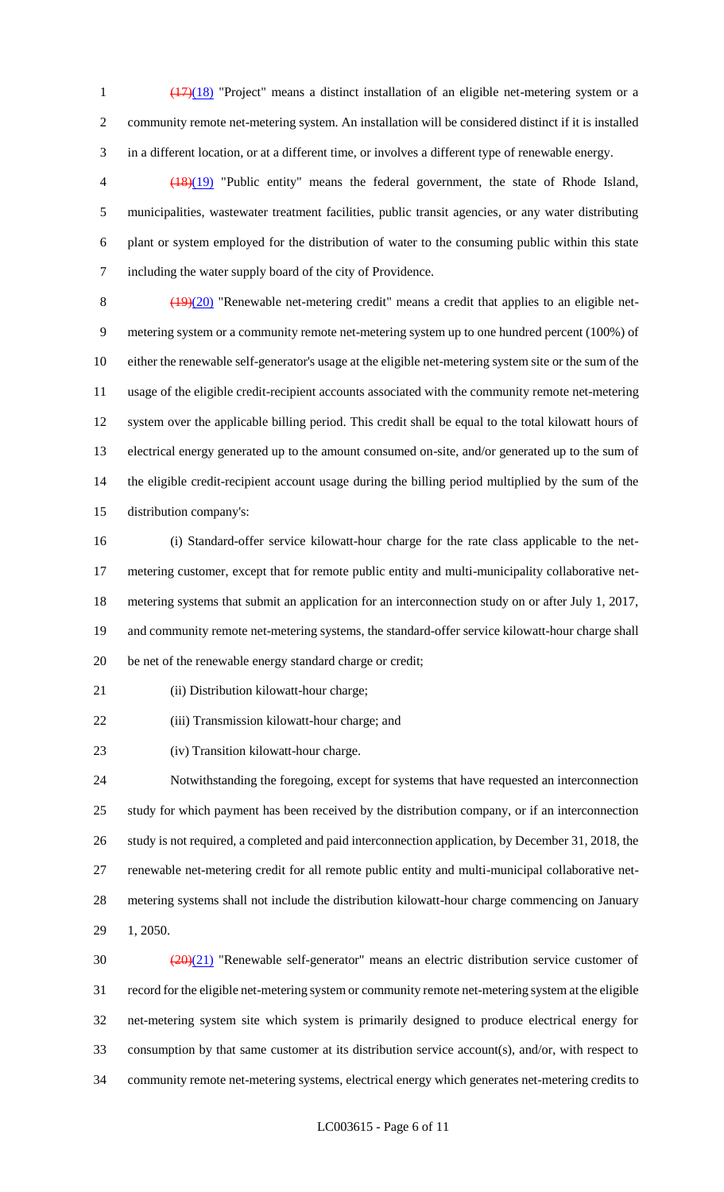(17)(18) "Project" means a distinct installation of an eligible net-metering system or a community remote net-metering system. An installation will be considered distinct if it is installed in a different location, or at a different time, or involves a different type of renewable energy.

 (18)(19) "Public entity" means the federal government, the state of Rhode Island, municipalities, wastewater treatment facilities, public transit agencies, or any water distributing plant or system employed for the distribution of water to the consuming public within this state including the water supply board of the city of Providence.

8 (19)(20) "Renewable net-metering credit" means a credit that applies to an eligible net- metering system or a community remote net-metering system up to one hundred percent (100%) of either the renewable self-generator's usage at the eligible net-metering system site or the sum of the usage of the eligible credit-recipient accounts associated with the community remote net-metering system over the applicable billing period. This credit shall be equal to the total kilowatt hours of electrical energy generated up to the amount consumed on-site, and/or generated up to the sum of the eligible credit-recipient account usage during the billing period multiplied by the sum of the distribution company's:

 (i) Standard-offer service kilowatt-hour charge for the rate class applicable to the net- metering customer, except that for remote public entity and multi-municipality collaborative net- metering systems that submit an application for an interconnection study on or after July 1, 2017, and community remote net-metering systems, the standard-offer service kilowatt-hour charge shall be net of the renewable energy standard charge or credit;

21 (ii) Distribution kilowatt-hour charge;

(iii) Transmission kilowatt-hour charge; and

(iv) Transition kilowatt-hour charge.

 Notwithstanding the foregoing, except for systems that have requested an interconnection study for which payment has been received by the distribution company, or if an interconnection study is not required, a completed and paid interconnection application, by December 31, 2018, the renewable net-metering credit for all remote public entity and multi-municipal collaborative net- metering systems shall not include the distribution kilowatt-hour charge commencing on January 1, 2050.

 $\frac{(20)(21)}{20}$  "Renewable self-generator" means an electric distribution service customer of record for the eligible net-metering system or community remote net-metering system at the eligible net-metering system site which system is primarily designed to produce electrical energy for consumption by that same customer at its distribution service account(s), and/or, with respect to community remote net-metering systems, electrical energy which generates net-metering credits to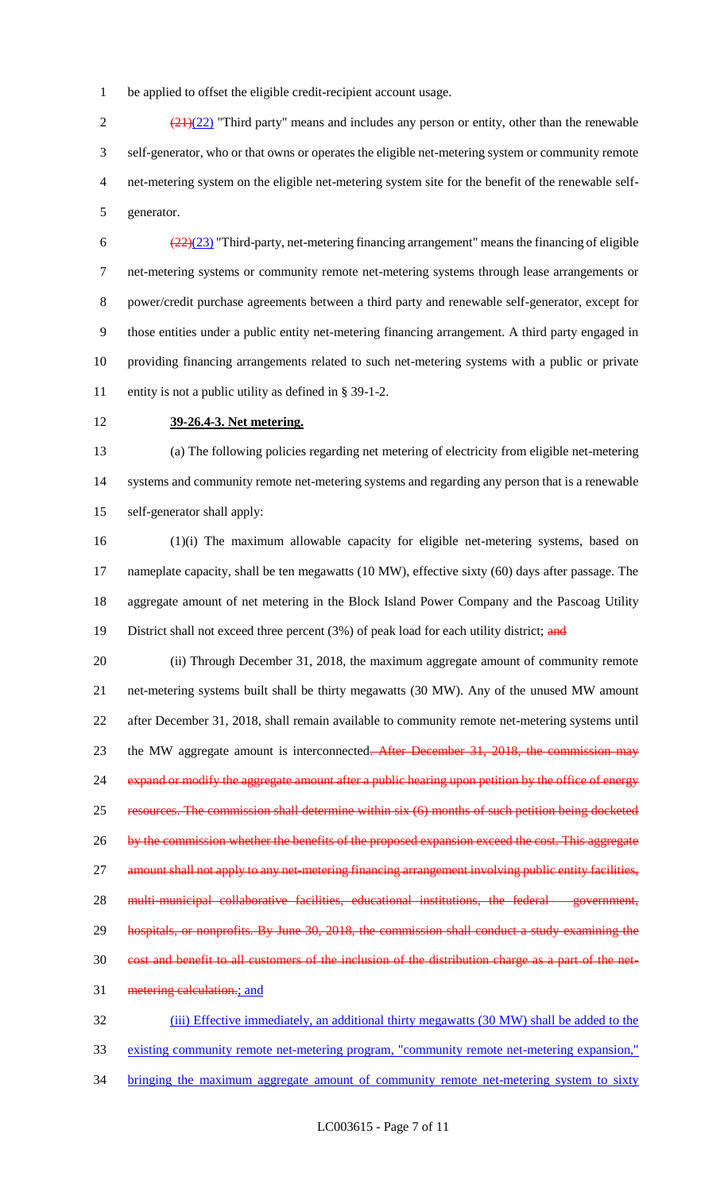1 be applied to offset the eligible credit-recipient account usage.

 $\frac{(21)(22)}{21}$  "Third party" means and includes any person or entity, other than the renewable self-generator, who or that owns or operates the eligible net-metering system or community remote net-metering system on the eligible net-metering system site for the benefit of the renewable self-generator.

 $\frac{(22)(23)}{2}$  "Third-party, net-metering financing arrangement" means the financing of eligible net-metering systems or community remote net-metering systems through lease arrangements or power/credit purchase agreements between a third party and renewable self-generator, except for those entities under a public entity net-metering financing arrangement. A third party engaged in providing financing arrangements related to such net-metering systems with a public or private entity is not a public utility as defined in § 39-1-2.

### 12 **39-26.4-3. Net metering.**

13 (a) The following policies regarding net metering of electricity from eligible net-metering 14 systems and community remote net-metering systems and regarding any person that is a renewable 15 self-generator shall apply:

16 (1)(i) The maximum allowable capacity for eligible net-metering systems, based on 17 nameplate capacity, shall be ten megawatts (10 MW), effective sixty (60) days after passage. The 18 aggregate amount of net metering in the Block Island Power Company and the Pascoag Utility 19 District shall not exceed three percent (3%) of peak load for each utility district; and

20 (ii) Through December 31, 2018, the maximum aggregate amount of community remote 21 net-metering systems built shall be thirty megawatts (30 MW). Any of the unused MW amount 22 after December 31, 2018, shall remain available to community remote net-metering systems until 23 the MW aggregate amount is interconnected. After December 31, 2018, the commission 24 expand or modify the aggregate amount after a public hearing upon petition by the office of energy 25 resources. The commission shall determine within six (6) months of such petition being docketed 26 by the commission whether the benefits of the proposed expansion exceed the cost. This aggregate 27 amount shall not apply to any net-metering financing arrangement involving public entity facilities, 28 multi-municipal collaborative facilities, educational institutions, the federal government, 29 hospitals, or nonprofits. By June 30, 2018, the commission shall conduct a study examining the 30 cost and benefit to all customers of the inclusion of the distribution charge as a part of the net-31 metering calculation.; and 32 (iii) Effective immediately, an additional thirty megawatts (30 MW) shall be added to the

33 existing community remote net-metering program, "community remote net-metering expansion,"

34 bringing the maximum aggregate amount of community remote net-metering system to sixty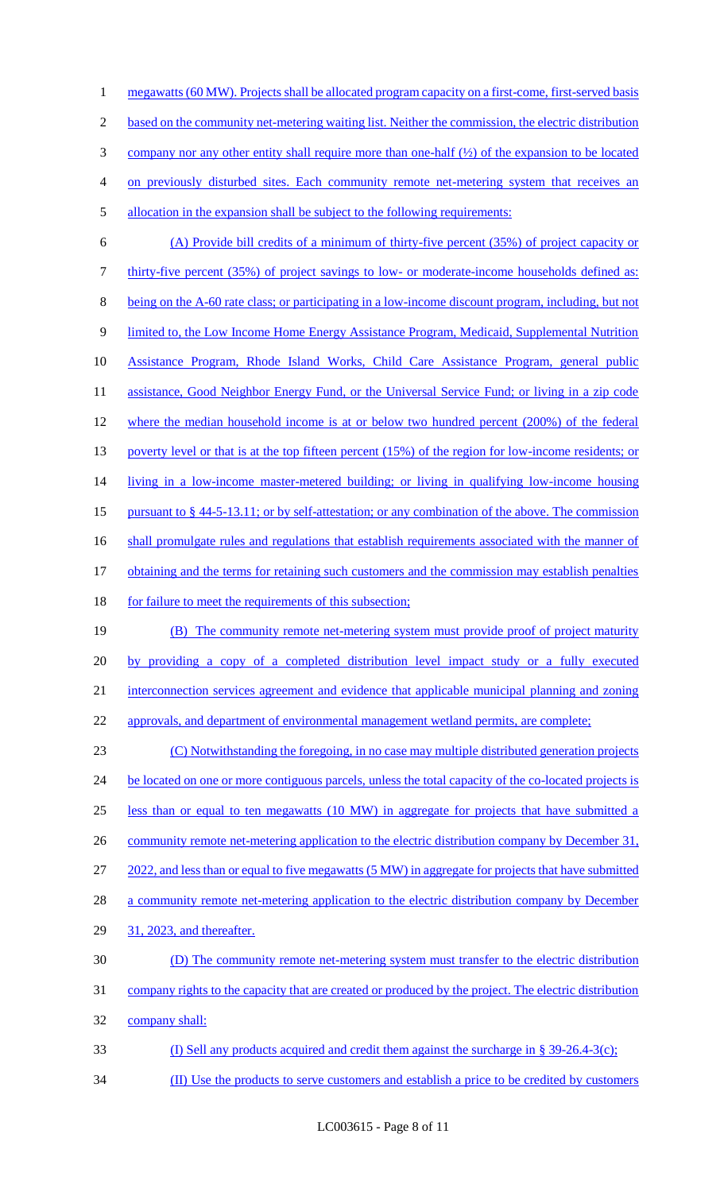1 megawatts (60 MW). Projects shall be allocated program capacity on a first-come, first-served basis based on the community net-metering waiting list. Neither the commission, the electric distribution company nor any other entity shall require more than one-half (½) of the expansion to be located on previously disturbed sites. Each community remote net-metering system that receives an allocation in the expansion shall be subject to the following requirements: (A) Provide bill credits of a minimum of thirty-five percent (35%) of project capacity or thirty-five percent (35%) of project savings to low- or moderate-income households defined as: being on the A-60 rate class; or participating in a low-income discount program, including, but not 9 limited to, the Low Income Home Energy Assistance Program, Medicaid, Supplemental Nutrition

10 Assistance Program, Rhode Island Works, Child Care Assistance Program, general public

11 assistance, Good Neighbor Energy Fund, or the Universal Service Fund; or living in a zip code 12 where the median household income is at or below two hundred percent (200%) of the federal 13 poverty level or that is at the top fifteen percent (15%) of the region for low-income residents; or 14 living in a low-income master-metered building; or living in qualifying low-income housing 15 pursuant to § 44-5-13.11; or by self-attestation; or any combination of the above. The commission 16 shall promulgate rules and regulations that establish requirements associated with the manner of 17 obtaining and the terms for retaining such customers and the commission may establish penalties

18 for failure to meet the requirements of this subsection;

19 (B) The community remote net-metering system must provide proof of project maturity 20 by providing a copy of a completed distribution level impact study or a fully executed 21 interconnection services agreement and evidence that applicable municipal planning and zoning 22 approvals, and department of environmental management wetland permits, are complete;

23 (C) Notwithstanding the foregoing, in no case may multiple distributed generation projects 24 be located on one or more contiguous parcels, unless the total capacity of the co-located projects is 25 less than or equal to ten megawatts (10 MW) in aggregate for projects that have submitted a 26 community remote net-metering application to the electric distribution company by December 31, 27 2022, and less than or equal to five megawatts (5 MW) in aggregate for projects that have submitted 28 a community remote net-metering application to the electric distribution company by December 29 31, 2023, and thereafter. 30 (D) The community remote net-metering system must transfer to the electric distribution 31 company rights to the capacity that are created or produced by the project. The electric distribution 32 company shall:

- 33 (I) Sell any products acquired and credit them against the surcharge in § 39-26.4-3(c);
- 34 (II) Use the products to serve customers and establish a price to be credited by customers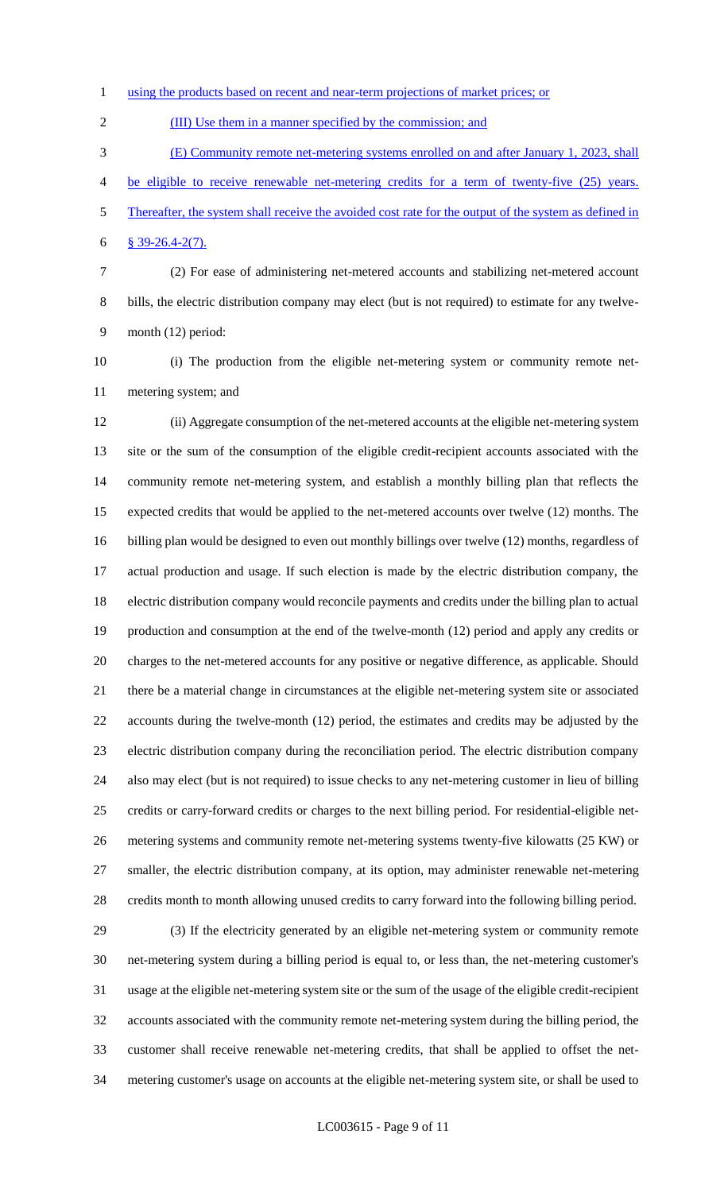1 using the products based on recent and near-term projections of market prices; or

2 (III) Use them in a manner specified by the commission; and

(E) Community remote net-metering systems enrolled on and after January 1, 2023, shall

- be eligible to receive renewable net-metering credits for a term of twenty-five (25) years. Thereafter, the system shall receive the avoided cost rate for the output of the system as defined in
- § 39-26.4-2(7).
- (2) For ease of administering net-metered accounts and stabilizing net-metered account bills, the electric distribution company may elect (but is not required) to estimate for any twelve-month (12) period:
- (i) The production from the eligible net-metering system or community remote net-metering system; and

 (ii) Aggregate consumption of the net-metered accounts at the eligible net-metering system site or the sum of the consumption of the eligible credit-recipient accounts associated with the community remote net-metering system, and establish a monthly billing plan that reflects the expected credits that would be applied to the net-metered accounts over twelve (12) months. The billing plan would be designed to even out monthly billings over twelve (12) months, regardless of actual production and usage. If such election is made by the electric distribution company, the electric distribution company would reconcile payments and credits under the billing plan to actual production and consumption at the end of the twelve-month (12) period and apply any credits or charges to the net-metered accounts for any positive or negative difference, as applicable. Should there be a material change in circumstances at the eligible net-metering system site or associated accounts during the twelve-month (12) period, the estimates and credits may be adjusted by the electric distribution company during the reconciliation period. The electric distribution company also may elect (but is not required) to issue checks to any net-metering customer in lieu of billing credits or carry-forward credits or charges to the next billing period. For residential-eligible net- metering systems and community remote net-metering systems twenty-five kilowatts (25 KW) or smaller, the electric distribution company, at its option, may administer renewable net-metering credits month to month allowing unused credits to carry forward into the following billing period.

 (3) If the electricity generated by an eligible net-metering system or community remote net-metering system during a billing period is equal to, or less than, the net-metering customer's usage at the eligible net-metering system site or the sum of the usage of the eligible credit-recipient accounts associated with the community remote net-metering system during the billing period, the customer shall receive renewable net-metering credits, that shall be applied to offset the net-metering customer's usage on accounts at the eligible net-metering system site, or shall be used to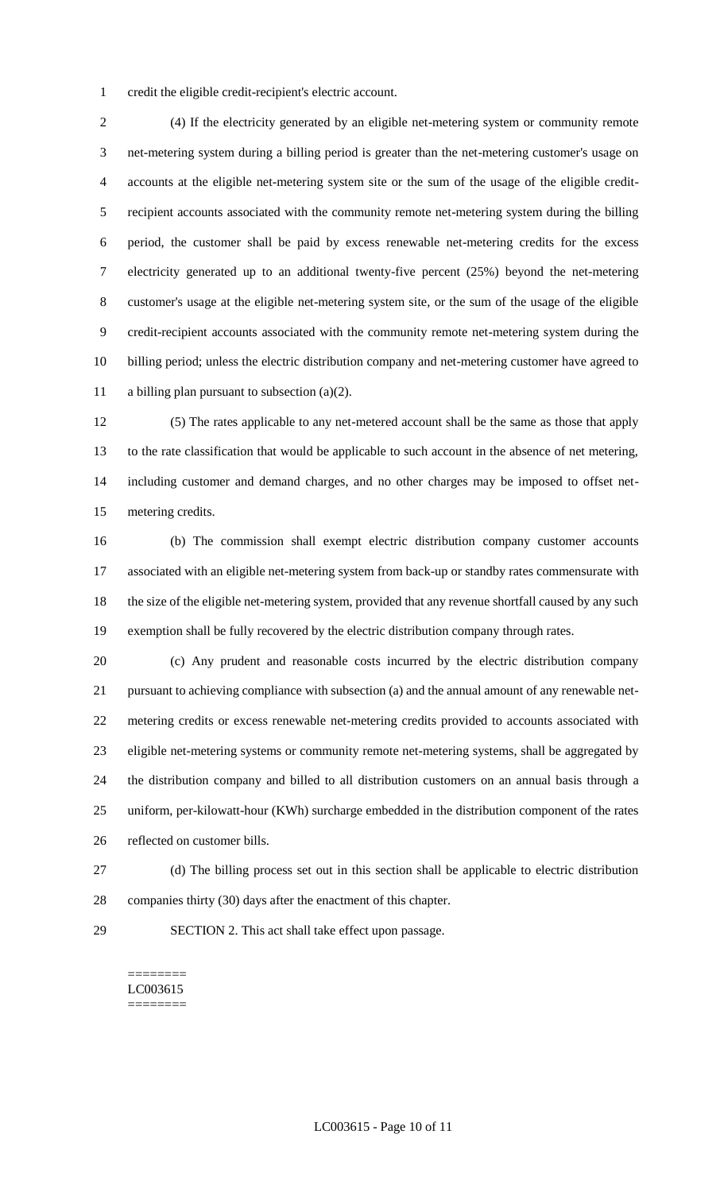credit the eligible credit-recipient's electric account.

 (4) If the electricity generated by an eligible net-metering system or community remote net-metering system during a billing period is greater than the net-metering customer's usage on accounts at the eligible net-metering system site or the sum of the usage of the eligible credit- recipient accounts associated with the community remote net-metering system during the billing period, the customer shall be paid by excess renewable net-metering credits for the excess electricity generated up to an additional twenty-five percent (25%) beyond the net-metering customer's usage at the eligible net-metering system site, or the sum of the usage of the eligible credit-recipient accounts associated with the community remote net-metering system during the billing period; unless the electric distribution company and net-metering customer have agreed to a billing plan pursuant to subsection (a)(2).

 (5) The rates applicable to any net-metered account shall be the same as those that apply to the rate classification that would be applicable to such account in the absence of net metering, including customer and demand charges, and no other charges may be imposed to offset net-metering credits.

 (b) The commission shall exempt electric distribution company customer accounts associated with an eligible net-metering system from back-up or standby rates commensurate with the size of the eligible net-metering system, provided that any revenue shortfall caused by any such exemption shall be fully recovered by the electric distribution company through rates.

 (c) Any prudent and reasonable costs incurred by the electric distribution company pursuant to achieving compliance with subsection (a) and the annual amount of any renewable net- metering credits or excess renewable net-metering credits provided to accounts associated with eligible net-metering systems or community remote net-metering systems, shall be aggregated by the distribution company and billed to all distribution customers on an annual basis through a uniform, per-kilowatt-hour (KWh) surcharge embedded in the distribution component of the rates reflected on customer bills.

 (d) The billing process set out in this section shall be applicable to electric distribution companies thirty (30) days after the enactment of this chapter.

SECTION 2. This act shall take effect upon passage.

#### ======== LC003615 ========